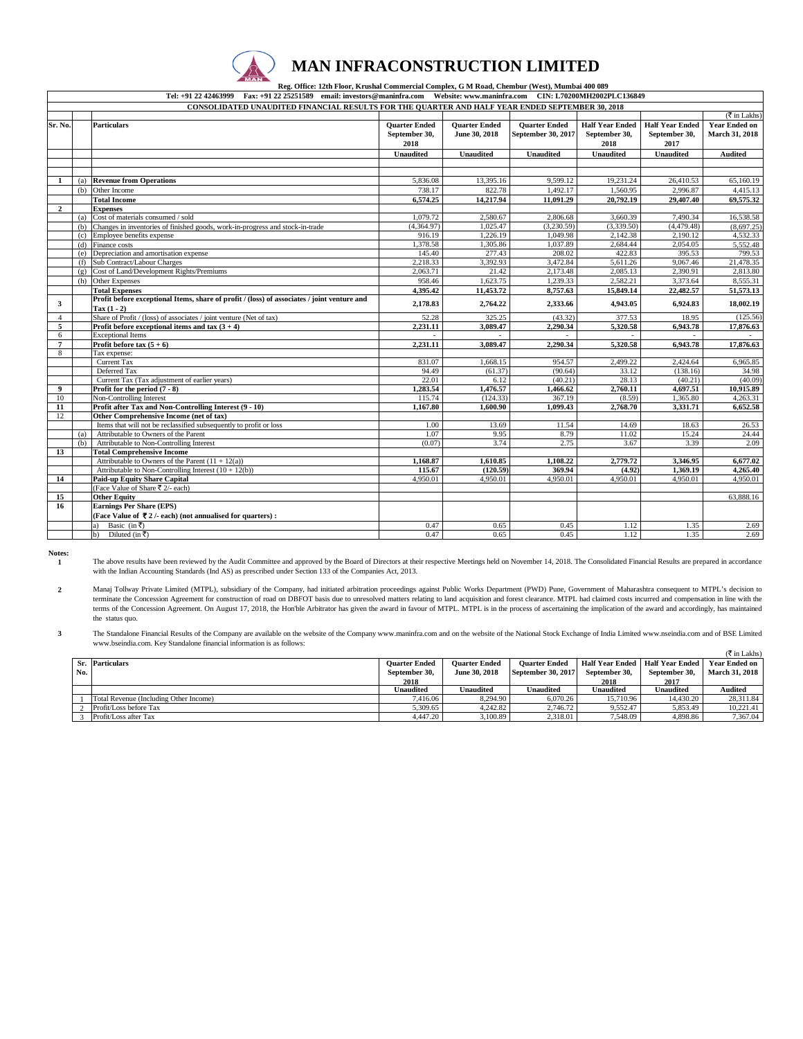

## **MAN INFRACONSTRUCTION LIMITED**

 **Reg. Office: 12th Floor, Krushal Commercial Complex, G M Road, Chembur (West), Mumbai 400 089 Tel: +91 22 42463999 Fax: +91 22 25251589 email: investors@maninfra.com Website: www.maninfra.com CIN: L70200MH2002PLC136849**

|                | CONSOLIDATED UNAUDITED FINANCIAL RESULTS FOR THE QUARTER AND HALF YEAR ENDED SEPTEMBER 30, 2018 |                                                                                                |                      |                      |                      |                        |                        |                             |
|----------------|-------------------------------------------------------------------------------------------------|------------------------------------------------------------------------------------------------|----------------------|----------------------|----------------------|------------------------|------------------------|-----------------------------|
|                |                                                                                                 |                                                                                                |                      |                      |                      |                        |                        | $(\overline{\xi}$ in Lakhs) |
| Sr. No.        |                                                                                                 | <b>Particulars</b>                                                                             | <b>Quarter Ended</b> | <b>Quarter Ended</b> | <b>Quarter Ended</b> | <b>Half Year Ended</b> | <b>Half Year Ended</b> | <b>Year Ended on</b>        |
|                |                                                                                                 |                                                                                                | September 30,        | June 30, 2018        | September 30, 2017   | September 30,          | September 30,          | March 31, 2018              |
|                |                                                                                                 |                                                                                                | 2018                 |                      |                      | 2018                   | 2017                   |                             |
|                |                                                                                                 |                                                                                                | <b>Unaudited</b>     | <b>Unaudited</b>     | <b>Unaudited</b>     | <b>Unaudited</b>       | <b>Unaudited</b>       | Audited                     |
|                |                                                                                                 |                                                                                                |                      |                      |                      |                        |                        |                             |
|                |                                                                                                 |                                                                                                |                      |                      |                      |                        |                        |                             |
| $\mathbf{1}$   | (a)                                                                                             | <b>Revenue from Operations</b>                                                                 | 5,836.08             | 13,395.16            | 9.599.12             | 19,231.24              | 26,410.53              | 65,160.19                   |
|                | (b)                                                                                             | Other Income                                                                                   | 738.17               | 822.78               | 1,492.17             | 1.560.95               | 2,996.87               | 4,415.13                    |
|                |                                                                                                 | <b>Total Income</b>                                                                            | 6.574.25             | 14,217.94            | 11.091.29            | 20,792.19              | 29,407.40              | 69,575.32                   |
| $\overline{2}$ |                                                                                                 | <b>Expenses</b>                                                                                |                      |                      |                      |                        |                        |                             |
|                | (a)                                                                                             | Cost of materials consumed / sold                                                              | 1,079.72             | 2,580.67             | 2,806.68             | 3,660.39               | 7,490.34               | 16,538.58                   |
|                | (h)                                                                                             | Changes in inventories of finished goods, work-in-progress and stock-in-trade                  | (4,364.97)           | 1,025.47             | (3,230.59)           | (3,339.50)             | (4,479.48)             | (8,697.25)                  |
|                | (c)                                                                                             | Employee benefits expense                                                                      | 916.19               | 1,226.19             | 1,049.98             | 2,142.38               | 2,190.12               | 4,532.33                    |
|                | (d)                                                                                             | Finance costs                                                                                  | 1,378.58             | 1,305.86             | 1,037.89             | 2,684.44               | 2,054.05               | 5,552.48                    |
|                | (e)                                                                                             | Depreciation and amortisation expense                                                          | 145.40               | 277.43               | 208.02               | 422.83                 | 395.53                 | 799.53                      |
|                | (f)                                                                                             | Sub Contract/Labour Charges                                                                    | 2,218.33             | 3,392.93             | 3,472.84             | 5,611.26               | 9,067.46               | 21,478.35                   |
|                | (g)                                                                                             | Cost of Land/Development Rights/Premiums                                                       | 2,063.71             | 21.42                | 2,173.48             | 2.085.13               | 2,390.91               | 2,813.80                    |
|                | (h)                                                                                             | <b>Other Expenses</b>                                                                          | 958.46               | 1,623.75             | 1,239.33             | 2,582.21               | 3,373.64               | 8,555.31                    |
|                |                                                                                                 | <b>Total Expenses</b>                                                                          | 4.395.42             | 11,453.72            | 8,757.63             | 15,849.14              | 22,482.57              | 51,573.13                   |
| 3              |                                                                                                 | Profit before exceptional Items, share of profit / (loss) of associates / joint venture and    | 2,178.83             | 2,764.22             | 2,333.66             | 4,943.05               | 6,924.83               | 18,002.19                   |
|                |                                                                                                 | $Tax(1 - 2)$                                                                                   |                      |                      |                      |                        |                        |                             |
| $\overline{4}$ |                                                                                                 | Share of Profit / (loss) of associates / joint venture (Net of tax)                            | 52.28                | 325.25               | (43.32)              | 377.53                 | 18.95                  | (125.56)                    |
| 5              |                                                                                                 | Profit before exceptional items and tax $(3 + 4)$                                              | 2,231.11             | 3,089.47             | 2,290.34             | 5,320.58               | 6,943.78               | 17,876.63                   |
| 6              |                                                                                                 | <b>Exceptional Items</b>                                                                       |                      |                      |                      |                        |                        |                             |
| $\overline{7}$ |                                                                                                 | Profit before tax $(5 + 6)$                                                                    | 2,231.11             | 3,089.47             | 2,290.34             | 5,320.58               | 6,943.78               | 17,876.63                   |
| 8              |                                                                                                 | Tax expense:                                                                                   |                      |                      |                      |                        |                        |                             |
|                |                                                                                                 | Current Tax                                                                                    | 831.07               | 1,668.15             | 954.57               | 2.499.22               | 2,424.64               | 6,965.85                    |
|                |                                                                                                 | Deferred Tax                                                                                   | 94.49                | (61.37)              | (90.64)              | 33.12                  | (138.16)               | 34.98                       |
|                |                                                                                                 | Current Tax (Tax adjustment of earlier years)                                                  | 22.01                | 6.12                 | (40.21)              | 28.13                  | (40.21)                | (40.09)                     |
| 9              |                                                                                                 | Profit for the period $(7 - 8)$                                                                | 1,283.54             | 1.476.57             | 1.466.62             | 2,760.11               | 4.697.51               | 10,915.89                   |
| 10             |                                                                                                 | Non-Controlling Interest                                                                       | 115.74               | (124.33)             | 367.19               | (8.59)                 | 1,365.80               | 4,263.31                    |
| 11             |                                                                                                 | Profit after Tax and Non-Controlling Interest (9 - 10)                                         | 1,167.80             | 1,600.90             | 1,099.43             | 2,768.70               | 3,331.71               | 6,652.58                    |
| 12             |                                                                                                 | Other Comprehensive Income (net of tax)                                                        |                      |                      |                      |                        |                        |                             |
|                |                                                                                                 | Items that will not be reclassified subsequently to profit or loss                             | 1.00                 | 13.69                | 11.54                | 14.69                  | 18.63                  | 26.53                       |
|                | (a)                                                                                             | Attributable to Owners of the Parent                                                           | 1.07                 | 9.95                 | 8.79                 | 11.02                  | 15.24                  | 24.44                       |
|                | (b)                                                                                             | Attributable to Non-Controlling Interest                                                       | (0.07)               | 3.74                 | 2.75                 | 3.67                   | 3.39                   | 2.09                        |
| 13             |                                                                                                 | <b>Total Comprehensive Income</b><br>Attributable to Owners of the Parent $(11 + 12(a))$       |                      |                      |                      |                        |                        |                             |
|                |                                                                                                 |                                                                                                | 1,168.87<br>115.67   | 1,610.85<br>(120.59) | 1,108.22<br>369.94   | 2,779.72<br>(4.92)     | 3,346.95               | 6.677.02                    |
|                |                                                                                                 | Attributable to Non-Controlling Interest $(10 + 12(b))$<br><b>Paid-up Equity Share Capital</b> |                      |                      |                      |                        | 1,369.19               | 4,265.40                    |
| 14             |                                                                                                 | (Face Value of Share ₹ 2/- each)                                                               | 4,950.01             | 4,950.01             | 4,950.01             | 4,950.01               | 4,950.01               | 4,950.01                    |
| 15             |                                                                                                 | <b>Other Equity</b>                                                                            |                      |                      |                      |                        |                        | 63,888.16                   |
| 16             |                                                                                                 | <b>Earnings Per Share (EPS)</b>                                                                |                      |                      |                      |                        |                        |                             |
|                |                                                                                                 |                                                                                                |                      |                      |                      |                        |                        |                             |
|                |                                                                                                 | (Face Value of $\overline{\nabla}$ 2/- each) (not annualised for quarters):                    |                      |                      |                      |                        |                        |                             |
|                |                                                                                                 | Basic (in ₹)<br>a).                                                                            | 0.47                 | 0.65                 | 0.45                 | 1.12                   | 1.35                   | 2.69                        |
|                |                                                                                                 | Diluted (in ₹)<br>b)                                                                           | 0.47                 | 0.65                 | 0.45                 | 1.12                   | 1.35                   | 2.69                        |

**Notes: 1**

The above results have been reviewed by the Audit Committee and approved by the Board of Directors at their respective Meetings held on November 14, 2018. The Consolidated Financial Results are prepared in accordance<br>with

**2** Manaj Tollway Private Limited (MTPL), subsidiary of the Company, had initiated arbitration proceedings against Public Works Department (PWD) Pune, Government of Maharashtra consequent to MTPL's decision to terminate the Concession Agreement for construction of road on DBFOT basis due to unresolved matters relating to land acquisition and forest clearance. MTPL had claimed costs incurred and compensation in line with the terms of the Concession Agreement. On August 17, 2018, the Hon'ble Arbitrator has given the award in favour of MTPL. MTPL is in the process of ascertaining the implication of the award and accordingly, has maintained the status quo.

**3** The Standalone Financial Results of the Company are available on the website of the Company www.maninfra.com and on the website of the National Stock Exchange of India Limited www.nseindia.com and of BSE Limited www.bseindia.com. Key Standalone financial information is as follows:

|     |                                        |                      |                      |                      |                        |                        | $(\overline{\tau}$ in Lakhs) |
|-----|----------------------------------------|----------------------|----------------------|----------------------|------------------------|------------------------|------------------------------|
|     | Sr. Particulars                        | <b>Ouarter Ended</b> | <b>Ouarter Ended</b> | <b>Ouarter Ended</b> | <b>Half Year Ended</b> | <b>Half Year Ended</b> | <b>Year Ended on</b>         |
| No. |                                        | September 30.        | June 30, 2018        | September 30, 2017   | September 30.          | September 30.          | <b>March 31, 2018</b>        |
|     |                                        | 2018                 |                      |                      | 2018                   | 2017                   |                              |
|     |                                        | Unaudited            | Unaudited            | Unaudited            | <b>Jnaudited</b>       | Unaudited              | Audited                      |
|     | Total Revenue (Including Other Income) | 7.416.06             | 8.294.90             | 6.070.26             | 15,710.96              | 14.430.20              | 28.311.84                    |
|     | Profit/Loss before Tax                 | 5.309.65             | 4.242.82             | 2.746.72             | 9.552.47               | 5.853.49               | 10.221.41                    |
|     | Profit/Loss after Tax                  | 4.447.20             | 3,100.89             | 2.318.01             | 7.548.09               | 4.898.86               | 7.367.04                     |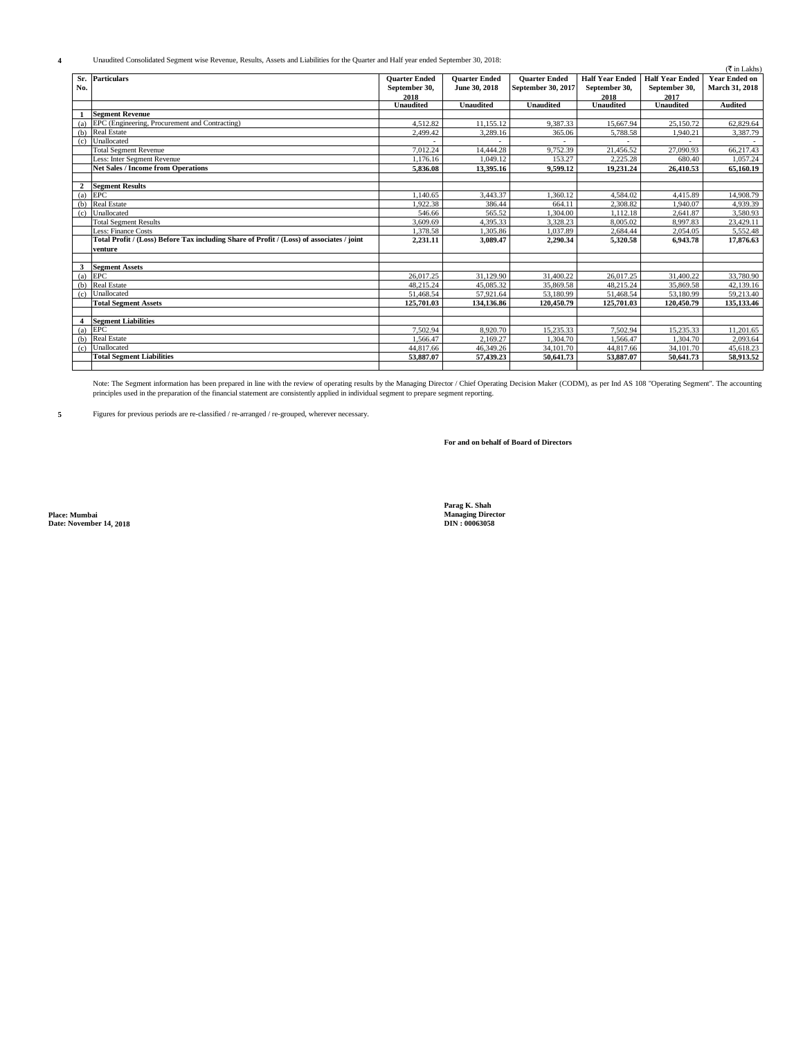**4** Unaudited Consolidated Segment wise Revenue, Results, Assets and Liabilities for the Quarter and Half year ended September 30, 2018:

|              |                                                                                           |                      |                      |                      |                        |                        | $(\overline{\mathfrak{F}}$ in Lakhs) |
|--------------|-------------------------------------------------------------------------------------------|----------------------|----------------------|----------------------|------------------------|------------------------|--------------------------------------|
| Sr.          | <b>Particulars</b>                                                                        | <b>Quarter Ended</b> | <b>Ouarter Ended</b> | <b>Ouarter Ended</b> | <b>Half Year Ended</b> | <b>Half Year Ended</b> | <b>Year Ended on</b>                 |
| No.          |                                                                                           | September 30,        | June 30, 2018        | September 30, 2017   | September 30,          | September 30,          | <b>March 31, 2018</b>                |
|              |                                                                                           | 2018                 |                      |                      | 2018                   | 2017                   |                                      |
|              |                                                                                           | <b>Unaudited</b>     | <b>Unaudited</b>     | <b>Unaudited</b>     | <b>Unaudited</b>       | <b>Unaudited</b>       | <b>Audited</b>                       |
|              | <b>Segment Revenue</b>                                                                    |                      |                      |                      |                        |                        |                                      |
| (a)          | EPC (Engineering, Procurement and Contracting)                                            | 4.512.82             | 11.155.12            | 9.387.33             | 15,667.94              | 25,150.72              | 62,829.64                            |
| (b)          | <b>Real Estate</b>                                                                        | 2.499.42             | 3,289.16             | 365.06               | 5.788.58               | 1.940.21               | 3,387.79                             |
| (c)          | Unallocated                                                                               |                      |                      |                      |                        |                        |                                      |
|              | <b>Total Segment Revenue</b>                                                              | 7.012.24             | 14.444.28            | 9.752.39             | 21.456.52              | 27,090.93              | 66,217.43                            |
|              | Less: Inter Segment Revenue                                                               | 1.176.16             | 1.049.12             | 153.27               | 2,225.28               | 680.40                 | 1,057.24                             |
|              | <b>Net Sales / Income from Operations</b>                                                 | 5.836.08             | 13.395.16            | 9.599.12             | 19.231.24              | 26.410.53              | 65,160.19                            |
|              |                                                                                           |                      |                      |                      |                        |                        |                                      |
| $\mathbf{2}$ | <b>Segment Results</b>                                                                    |                      |                      |                      |                        |                        |                                      |
| (a)          | <b>EPC</b>                                                                                | 1.140.65             | 3,443.37             | 1.360.12             | 4.584.02               | 4,415.89               | 14,908.79                            |
| (b)          | <b>Real Estate</b>                                                                        | 1.922.38             | 386.44               | 664.11               | 2.308.82               | 1.940.07               | 4.939.39                             |
| (c)          | Unallocated                                                                               | 546.66               | 565.52               | 1.304.00             | 1.112.18               | 2.641.87               | 3.580.93                             |
|              | <b>Total Segment Results</b>                                                              | 3,609.69             | 4.395.33             | 3.328.23             | 8,005.02               | 8.997.83               | 23.429.11                            |
|              | Less: Finance Costs                                                                       | 1.378.58             | 1.305.86             | 1.037.89             | 2,684.44               | 2,054.05               | 5,552.48                             |
|              | Total Profit / (Loss) Before Tax including Share of Profit / (Loss) of associates / joint | 2,231.11             | 3.089.47             | 2.290.34             | 5.320.58               | 6.943.78               | 17,876.63                            |
|              | venture                                                                                   |                      |                      |                      |                        |                        |                                      |
|              |                                                                                           |                      |                      |                      |                        |                        |                                      |
| 3            | <b>Segment Assets</b>                                                                     |                      |                      |                      |                        |                        |                                      |
| (a)          | EPC                                                                                       | 26,017.25            | 31.129.90            | 31,400.22            | 26,017.25              | 31,400.22              | 33,780.90                            |
| (b)          | <b>Real Estate</b>                                                                        | 48.215.24            | 45.085.32            | 35,869.58            | 48.215.24              | 35,869.58              | 42.139.16                            |
| (c)          | Unallocated                                                                               | 51.468.54            | 57.921.64            | 53.180.99            | 51,468.54              | 53,180.99              | 59.213.40                            |
|              | <b>Total Segment Assets</b>                                                               | 125,701.03           | 134.136.86           | 120.450.79           | 125,701.03             | 120.450.79             | 135,133,46                           |
|              |                                                                                           |                      |                      |                      |                        |                        |                                      |
| 4            | <b>Segment Liabilities</b>                                                                |                      |                      |                      |                        |                        |                                      |
| (a)          | <b>EPC</b>                                                                                | 7.502.94             | 8,920.70             | 15.235.33            | 7.502.94               | 15.235.33              | 11.201.65                            |
| (b)          | <b>Real Estate</b>                                                                        | 1.566.47             | 2.169.27             | 1.304.70             | 1.566.47               | 1.304.70               | 2.093.64                             |
| (c)          | Unallocated                                                                               | 44,817.66            | 46,349.26            | 34,101.70            | 44,817.66              | 34,101.70              | 45,618.23                            |
|              | <b>Total Segment Liabilities</b>                                                          | 53,887.07            | 57.439.23            | 50.641.73            | 53,887.07              | 50.641.73              | 58.913.52                            |
|              |                                                                                           |                      |                      |                      |                        |                        |                                      |

Note: The Segment information has been prepared in line with the review of operating results by the Managing Director / Chief Operating Decision Maker (CODM), as per Ind AS 108 "Operating Segment". The accounting<br>principle

**5** Figures for previous periods are re-classified / re-arranged / re-grouped, wherever necessary.

## **For and on behalf of Board of Directors**

**Place: Mumbai Managing Director Date: November 14, 2018 DIN : 00063058**

**Parag K. Shah**